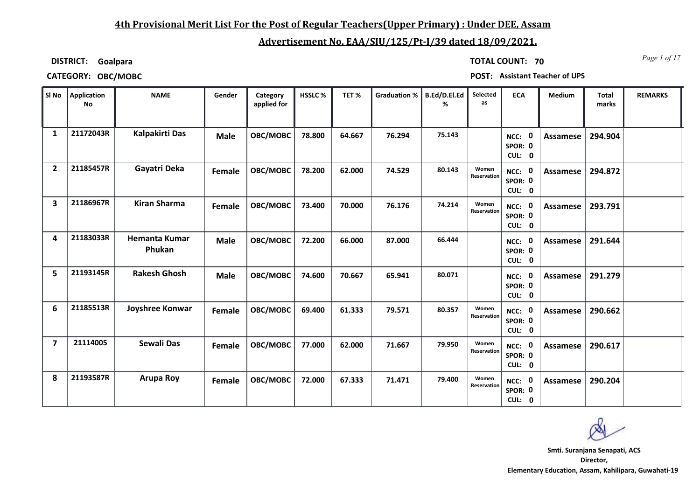### **4th Provisional Merit List For the Post of Regular Teachers(Upper Primary) : Under DEE, Assam**

## **Advertisement No. EAA/SIU/125/Pt-I/39 dated 18/09/2021.**

**DISTRICT: Goalpara**

*Page 1 of 17* **TOTAL COUNT: 70**

**CATEGORY: OBC/MOBC POST: Assistant Teacher of UPS**

| SI No          | Application<br><b>No</b> | <b>NAME</b>                    | Gender      | Category<br>applied for | HSSLC% | TET%   | <b>Graduation %</b> | B.Ed/D.El.Ed<br>% | Selected<br>as       | <b>ECA</b>                     | <b>Medium</b>   | <b>Total</b><br>marks | <b>REMARKS</b> |
|----------------|--------------------------|--------------------------------|-------------|-------------------------|--------|--------|---------------------|-------------------|----------------------|--------------------------------|-----------------|-----------------------|----------------|
| 1              | 21172043R                | Kalpakirti Das                 | <b>Male</b> | OBC/MOBC                | 78.800 | 64.667 | 76.294              | 75.143            |                      | NCC: 0<br>SPOR: 0<br>CUL: 0    | Assamese        | 294.904               |                |
| $\overline{2}$ | 21185457R                | Gayatri Deka                   | Female      | OBC/MOBC                | 78.200 | 62.000 | 74.529              | 80.143            | Women<br>Reservation | NCC: 0<br>SPOR: 0<br>CUL: 0    | Assamese        | 294.872               |                |
| 3              | 21186967R                | <b>Kiran Sharma</b>            | Female      | OBC/MOBC                | 73.400 | 70.000 | 76.176              | 74.214            | Women<br>Reservation | NCC: 0<br>SPOR: 0<br>CUL: 0    | Assamese        | 293.791               |                |
| 4              | 21183033R                | <b>Hemanta Kumar</b><br>Phukan | <b>Male</b> | OBC/MOBC                | 72.200 | 66.000 | 87.000              | 66.444            |                      | NCC: 0<br>SPOR: 0<br>CUL: 0    | Assamese        | 291.644               |                |
| 5              | 21193145R                | <b>Rakesh Ghosh</b>            | <b>Male</b> | OBC/MOBC                | 74.600 | 70.667 | 65.941              | 80.071            |                      | NCC: 0<br>SPOR: 0<br>CUL: 0    | <b>Assamese</b> | 291.279               |                |
| 6              | 21185513R                | Joyshree Konwar                | Female      | OBC/MOBC                | 69.400 | 61.333 | 79.571              | 80.357            | Women<br>Reservation | NCC:<br>0<br>SPOR: 0<br>CUL: 0 | Assamese        | 290.662               |                |
| 7              | 21114005                 | <b>Sewali Das</b>              | Female      | OBC/MOBC                | 77.000 | 62.000 | 71.667              | 79.950            | Women<br>Reservation | NCC: 0<br>SPOR: 0<br>CUL: 0    | Assamese        | 290.617               |                |
| 8              | 21193587R                | <b>Arupa Roy</b>               | Female      | OBC/MOBC                | 72.000 | 67.333 | 71.471              | 79.400            | Women<br>Reservation | NCC: 0<br>SPOR: 0<br>CUL: 0    | Assamese        | 290.204               |                |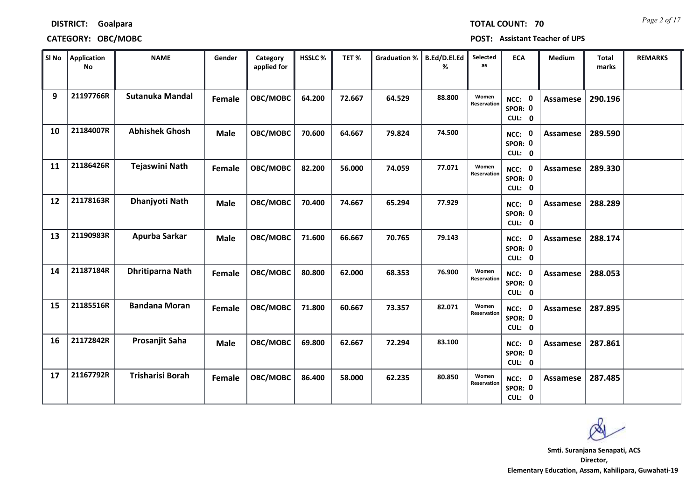| <b>DISTRICT:</b> | Goalpara |
|------------------|----------|
|------------------|----------|

| SI No | Application<br><b>No</b> | <b>NAME</b>             | Gender        | Category<br>applied for | <b>HSSLC %</b> | TET%   | Graduation %   B.Ed/D.El.Ed | ℅      | <b>Selected</b><br>as | <b>ECA</b>                               | <b>Medium</b>   | <b>Total</b><br>marks | <b>REMARKS</b> |
|-------|--------------------------|-------------------------|---------------|-------------------------|----------------|--------|-----------------------------|--------|-----------------------|------------------------------------------|-----------------|-----------------------|----------------|
| 9     | 21197766R                | <b>Sutanuka Mandal</b>  | <b>Female</b> | OBC/MOBC                | 64.200         | 72.667 | 64.529                      | 88.800 | Women<br>Reservation  | $\mathbf 0$<br>NCC:<br>SPOR: 0<br>CUL: 0 | Assamese        | 290.196               |                |
| 10    | 21184007R                | <b>Abhishek Ghosh</b>   | <b>Male</b>   | OBC/MOBC                | 70.600         | 64.667 | 79.824                      | 74.500 |                       | NCC: 0<br>SPOR: 0<br>CUL: 0              | Assamese        | 289.590               |                |
| 11    | 21186426R                | Tejaswini Nath          | Female        | OBC/MOBC                | 82.200         | 56.000 | 74.059                      | 77.071 | Women<br>Reservation  | NCC: 0<br>SPOR: 0<br>CUL: 0              | Assamese        | 289.330               |                |
| 12    | 21178163R                | Dhanjyoti Nath          | <b>Male</b>   | OBC/MOBC                | 70.400         | 74.667 | 65.294                      | 77.929 |                       | $\mathbf 0$<br>NCC:<br>SPOR: 0<br>CUL: 0 | <b>Assamese</b> | 288.289               |                |
| 13    | 21190983R                | Apurba Sarkar           | <b>Male</b>   | OBC/MOBC                | 71.600         | 66.667 | 70.765                      | 79.143 |                       | $\mathbf 0$<br>NCC:<br>SPOR: 0<br>CUL: 0 | <b>Assamese</b> | 288.174               |                |
| 14    | 21187184R                | <b>Dhritiparna Nath</b> | Female        | OBC/MOBC                | 80.800         | 62.000 | 68.353                      | 76.900 | Women<br>Reservation  | NCC: 0<br>SPOR: 0<br>CUL: 0              | Assamese        | 288.053               |                |
| 15    | 21185516R                | <b>Bandana Moran</b>    | Female        | OBC/MOBC                | 71.800         | 60.667 | 73.357                      | 82.071 | Women<br>Reservation  | NCC: 0<br>SPOR: 0<br>CUL: 0              | Assamese        | 287.895               |                |
| 16    | 21172842R                | Prosanjit Saha          | <b>Male</b>   | OBC/MOBC                | 69.800         | 62.667 | 72.294                      | 83.100 |                       | 0<br>NCC:<br>SPOR: 0<br>CUL: 0           | <b>Assamese</b> | 287.861               |                |
| 17    | 21167792R                | <b>Trisharisi Borah</b> | Female        | OBC/MOBC                | 86.400         | 58.000 | 62.235                      | 80.850 | Women<br>Reservation  | $\mathbf 0$<br>NCC:<br>SPOR: 0<br>CUL: 0 | Assamese        | 287.485               |                |

**Director, Elementary Education, Assam, Kahilipara, Guwahati-19 Smti. Suranjana Senapati, ACS**

*Page 2 of 17* **TOTAL COUNT: 70**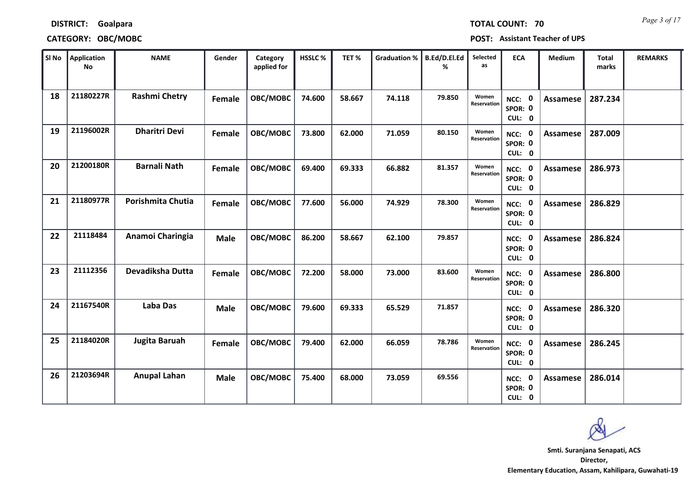| SI No | <b>Application</b><br><b>No</b> | <b>NAME</b>          | Gender      | Category<br>applied for | <b>HSSLC%</b> | TET%   | <b>Graduation %</b> | B.Ed/D.El.Ed<br>% | Selected<br>as       | <b>ECA</b>                               | Medium          | <b>Total</b><br>marks | <b>REMARKS</b> |
|-------|---------------------------------|----------------------|-------------|-------------------------|---------------|--------|---------------------|-------------------|----------------------|------------------------------------------|-----------------|-----------------------|----------------|
| 18    | 21180227R                       | <b>Rashmi Chetry</b> | Female      | OBC/MOBC                | 74.600        | 58.667 | 74.118              | 79.850            | Women<br>Reservation | $\mathbf 0$<br>NCC:<br>SPOR: 0<br>CUL: 0 | Assamese        | 287.234               |                |
| 19    | 21196002R                       | <b>Dharitri Devi</b> | Female      | OBC/MOBC                | 73.800        | 62.000 | 71.059              | 80.150            | Women<br>Reservation | NCC: 0<br>SPOR: 0<br>CUL: 0              | Assamese        | 287.009               |                |
| 20    | 21200180R                       | <b>Barnali Nath</b>  | Female      | OBC/MOBC                | 69.400        | 69.333 | 66.882              | 81.357            | Women<br>Reservation | NCC: 0<br>SPOR: 0<br>CUL: 0              | <b>Assamese</b> | 286.973               |                |
| 21    | 21180977R                       | Porishmita Chutia    | Female      | OBC/MOBC                | 77.600        | 56.000 | 74.929              | 78.300            | Women<br>Reservation | $\mathbf 0$<br>NCC:<br>SPOR: 0<br>CUL: 0 | Assamese        | 286.829               |                |
| 22    | 21118484                        | Anamoi Charingia     | <b>Male</b> | OBC/MOBC                | 86.200        | 58.667 | 62.100              | 79.857            |                      | 0<br>NCC:<br>SPOR: 0<br>CUL: 0           | Assamese        | 286.824               |                |
| 23    | 21112356                        | Devadiksha Dutta     | Female      | OBC/MOBC                | 72.200        | 58.000 | 73.000              | 83.600            | Women<br>Reservation | NCC: 0<br>SPOR: 0<br>CUL: 0              | <b>Assamese</b> | 286.800               |                |
| 24    | 21167540R                       | Laba Das             | <b>Male</b> | OBC/MOBC                | 79.600        | 69.333 | 65.529              | 71.857            |                      | NCC: 0<br>SPOR: 0<br>CUL: 0              | Assamese        | 286.320               |                |
| 25    | 21184020R                       | Jugita Baruah        | Female      | OBC/MOBC                | 79.400        | 62.000 | 66.059              | 78.786            | Women<br>Reservation | $\mathbf 0$<br>NCC:<br>SPOR: 0<br>CUL: 0 | <b>Assamese</b> | 286.245               |                |
| 26    | 21203694R                       | <b>Anupal Lahan</b>  | <b>Male</b> | OBC/MOBC                | 75.400        | 68.000 | 73.059              | 69.556            |                      | 0<br>NCC:<br>SPOR: 0<br>CUL: 0           | Assamese        | 286.014               |                |

*Page 3 of 17* **TOTAL COUNT: 70**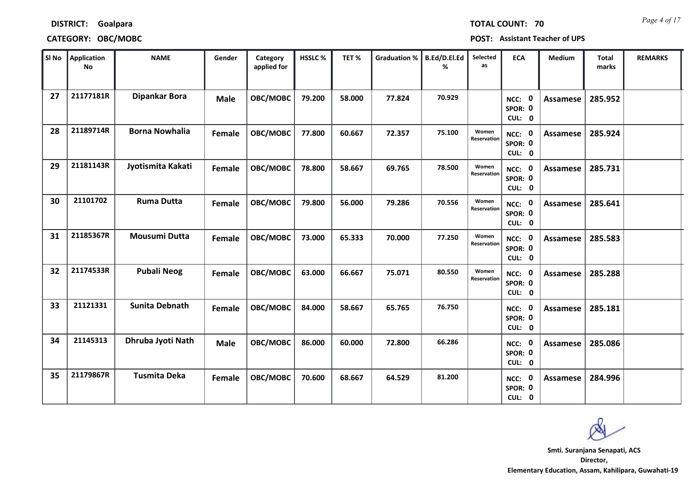|    | <b>No</b> |                       |             | applied for |        |        |        | %      | as                   |                                    |                 | marks   |  |
|----|-----------|-----------------------|-------------|-------------|--------|--------|--------|--------|----------------------|------------------------------------|-----------------|---------|--|
| 27 | 21177181R | <b>Dipankar Bora</b>  | <b>Male</b> | OBC/MOBC    | 79.200 | 58.000 | 77.824 | 70.929 |                      | NCC: 0<br>SPOR: 0<br>CUL: 0        | <b>Assamese</b> | 285.952 |  |
| 28 | 21189714R | <b>Borna Nowhalia</b> | Female      | OBC/MOBC    | 77.800 | 60.667 | 72.357 | 75.100 | Women<br>Reservation | NCC: 0<br>SPOR: 0<br>CUL: 0        | Assamese        | 285.924 |  |
| 29 | 21181143R | Jyotismita Kakati     | Female      | OBC/MOBC    | 78.800 | 58.667 | 69.765 | 78.500 | Women<br>Reservation | NCC: 0<br>SPOR: 0<br>CUL: 0        | Assamese        | 285.731 |  |
| 30 | 21101702  | <b>Ruma Dutta</b>     | Female      | OBC/MOBC    | 79.800 | 56.000 | 79.286 | 70.556 | Women<br>Reservation | NCC: 0<br>SPOR: 0<br>CUL: 0        | <b>Assamese</b> | 285.641 |  |
| 31 | 21185367R | <b>Mousumi Dutta</b>  | Female      | OBC/MOBC    | 73.000 | 65.333 | 70.000 | 77.250 | Women<br>Reservation | NCC: 0<br>SPOR: 0<br>CUL: 0        | Assamese        | 285.583 |  |
| 32 | 21174533R | <b>Pubali Neog</b>    | Female      | OBC/MOBC    | 63.000 | 66.667 | 75.071 | 80.550 | Women<br>Reservation | NCC: 0<br>SPOR: 0<br>CUL: 0        | <b>Assamese</b> | 285.288 |  |
| 33 | 21121331  | <b>Sunita Debnath</b> | Female      | OBC/MOBC    | 84.000 | 58.667 | 65.765 | 76.750 |                      | NCC: 0<br>SPOR: 0<br>CUL: 0        | Assamese        | 285.181 |  |
| 34 | 21145313  | Dhruba Jyoti Nath     | <b>Male</b> | OBC/MOBC    | 86.000 | 60.000 | 72.800 | 66.286 |                      | <b>NCC: 0</b><br>SPOR: 0<br>CUL: 0 | Assamese        | 285.086 |  |
| 35 | 21179867R | <b>Tusmita Deka</b>   | Female      | OBC/MOBC    | 70.600 | 68.667 | 64.529 | 81.200 |                      | NCC: 0<br>SPOR: 0<br>CUL: 0        | Assamese        | 284.996 |  |

 $\blacksquare$  **SI No**  $\blacksquare$  **B**  $\blacksquare$  **REMARKS**  $\blacksquare$  **Category**  $\blacksquare$  HSSLC %  $\blacksquare$  TET %  $\blacksquare$  Graduation %  $\blacksquare$  B.Ed/D.El.Ed  $\blacksquare$  Selected  $\blacksquare$  ECA  $\blacksquare$  Medium  $\blacksquare$  Total  $\blacksquare$  REMARKS

**Category** 

# **DISTRICT: Goalpara**

**SINO Application** 

**CATEGORY: OBC/MOBC POST: Assistant Teacher of UPS**

*Page 4 of 17* **TOTAL COUNT: 70**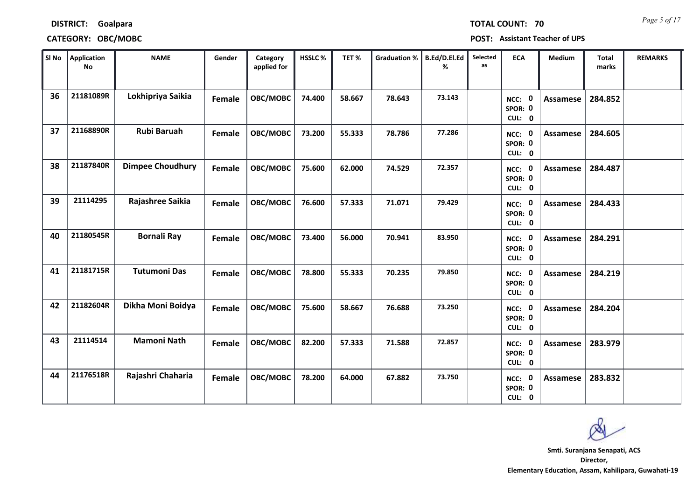| <b>DISTRICT:</b> | Goalpara |
|------------------|----------|
|------------------|----------|

| SI No | Application<br>No | <b>NAME</b>             | Gender        | Category<br>applied for | <b>HSSLC%</b> | TET%   | <b>Graduation %</b> | B.Ed/D.El.Ed<br>% | Selected<br>as | <b>ECA</b>                         | <b>Medium</b>   | <b>Total</b><br>marks | <b>REMARKS</b> |
|-------|-------------------|-------------------------|---------------|-------------------------|---------------|--------|---------------------|-------------------|----------------|------------------------------------|-----------------|-----------------------|----------------|
| 36    | 21181089R         | Lokhipriya Saikia       | Female        | OBC/MOBC                | 74.400        | 58.667 | 78.643              | 73.143            |                | 0<br>NCC:<br>SPOR: 0<br>CUL: 0     | <b>Assamese</b> | 284.852               |                |
| 37    | 21168890R         | <b>Rubi Baruah</b>      | Female        | OBC/MOBC                | 73.200        | 55.333 | 78.786              | 77.286            |                | NCC: 0<br>SPOR: 0<br>CUL: 0        | Assamese        | 284.605               |                |
| 38    | 21187840R         | <b>Dimpee Choudhury</b> | Female        | OBC/MOBC                | 75.600        | 62.000 | 74.529              | 72.357            |                | NCC: 0<br>SPOR: 0<br>CUL: 0        | <b>Assamese</b> | 284.487               |                |
| 39    | 21114295          | Rajashree Saikia        | Female        | OBC/MOBC                | 76.600        | 57.333 | 71.071              | 79.429            |                | 0<br>NCC:<br>SPOR: 0<br>CUL: 0     | Assamese        | 284.433               |                |
| 40    | 21180545R         | <b>Bornali Ray</b>      | Female        | OBC/MOBC                | 73.400        | 56.000 | 70.941              | 83.950            |                | NCC: 0<br>SPOR: 0<br>CUL: 0        | <b>Assamese</b> | 284.291               |                |
| 41    | 21181715R         | <b>Tutumoni Das</b>     | Female        | OBC/MOBC                | 78.800        | 55.333 | 70.235              | 79.850            |                | NCC: 0<br>SPOR: 0<br>CUL: 0        | Assamese        | 284.219               |                |
| 42    | 21182604R         | Dikha Moni Boidya       | <b>Female</b> | OBC/MOBC                | 75.600        | 58.667 | 76.688              | 73.250            |                | NCC: 0<br>SPOR: 0<br>CUL: 0        | <b>Assamese</b> | 284.204               |                |
| 43    | 21114514          | <b>Mamoni Nath</b>      | Female        | OBC/MOBC                | 82.200        | 57.333 | 71.588              | 72.857            |                | <b>NCC: 0</b><br>SPOR: 0<br>CUL: 0 | <b>Assamese</b> | 283.979               |                |
| 44    | 21176518R         | Rajashri Chaharia       | Female        | OBC/MOBC                | 78.200        | 64.000 | 67.882              | 73.750            |                | 0<br>NCC:<br>SPOR: 0<br>CUL: 0     | Assamese        | 283.832               |                |

*Page 5 of 17* **TOTAL COUNT: 70**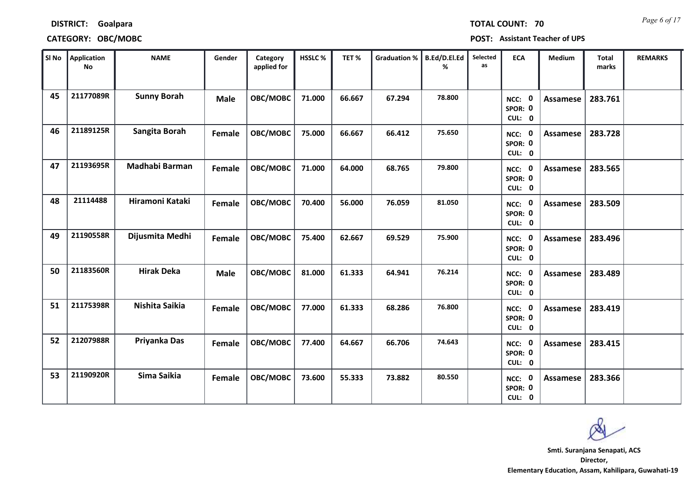| SI No | Application<br><b>No</b> | <b>NAME</b>        | Gender      | Category<br>applied for | HSSLC% | TET%   | <b>Graduation %</b> | B.Ed/D.El.Ed<br>% | Selected<br>as | <b>ECA</b>                               | <b>Medium</b>   | <b>Total</b><br>marks | <b>REMARKS</b> |
|-------|--------------------------|--------------------|-------------|-------------------------|--------|--------|---------------------|-------------------|----------------|------------------------------------------|-----------------|-----------------------|----------------|
| 45    | 21177089R                | <b>Sunny Borah</b> | <b>Male</b> | OBC/MOBC                | 71.000 | 66.667 | 67.294              | 78.800            |                | $\mathbf 0$<br>NCC:<br>SPOR: 0<br>CUL: 0 | <b>Assamese</b> | 283.761               |                |
| 46    | 21189125R                | Sangita Borah      | Female      | OBC/MOBC                | 75.000 | 66.667 | 66.412              | 75.650            |                | NCC: 0<br>SPOR: 0<br>CUL: 0              | Assamese        | 283.728               |                |
| 47    | 21193695R                | Madhabi Barman     | Female      | OBC/MOBC                | 71.000 | 64.000 | 68.765              | 79.800            |                | $\mathbf 0$<br>NCC:<br>SPOR: 0<br>CUL: 0 | <b>Assamese</b> | 283.565               |                |
| 48    | 21114488                 | Hiramoni Kataki    | Female      | OBC/MOBC                | 70.400 | 56.000 | 76.059              | 81.050            |                | $\mathbf 0$<br>NCC:<br>SPOR: 0<br>CUL: 0 | <b>Assamese</b> | 283.509               |                |
| 49    | 21190558R                | Dijusmita Medhi    | Female      | OBC/MOBC                | 75.400 | 62.667 | 69.529              | 75.900            |                | NCC: 0<br>SPOR: 0<br>CUL: 0              | <b>Assamese</b> | 283.496               |                |
| 50    | 21183560R                | <b>Hirak Deka</b>  | <b>Male</b> | OBC/MOBC                | 81.000 | 61.333 | 64.941              | 76.214            |                | NCC: 0<br>SPOR: 0<br>CUL: 0              | <b>Assamese</b> | 283.489               |                |
| 51    | 21175398R                | Nishita Saikia     | Female      | OBC/MOBC                | 77.000 | 61.333 | 68.286              | 76.800            |                | NCC: 0<br>SPOR: 0<br>CUL: 0              | <b>Assamese</b> | 283.419               |                |
| 52    | 21207988R                | Priyanka Das       | Female      | OBC/MOBC                | 77.400 | 64.667 | 66.706              | 74.643            |                | $\mathbf 0$<br>NCC:<br>SPOR: 0<br>CUL: 0 | <b>Assamese</b> | 283.415               |                |
| 53    | 21190920R                | Sima Saikia        | Female      | OBC/MOBC                | 73.600 | 55.333 | 73.882              | 80.550            |                | $\mathbf 0$<br>NCC:<br>SPOR: 0<br>CUL: 0 | <b>Assamese</b> | 283.366               |                |

**Director, Elementary Education, Assam, Kahilipara, Guwahati-19 Smti. Suranjana Senapati, ACS**

*Page 6 of 17* **TOTAL COUNT: 70**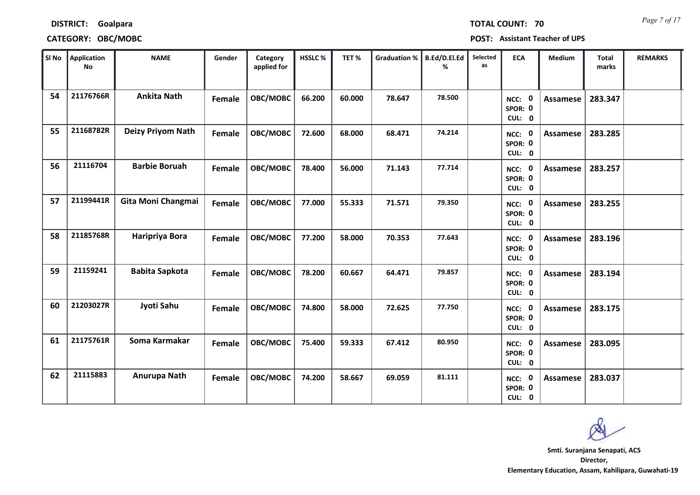| <b>DISTRICT:</b> | Goalpara |
|------------------|----------|
|------------------|----------|

| SI No | Application<br>No | <b>NAME</b>           | Gender        | Category<br>applied for | HSSLC% | TET%   | <b>Graduation %</b> | B.Ed/D.El.Ed<br>% | Selected<br>as | <b>ECA</b>                               | <b>Medium</b>   | <b>Total</b><br>marks | <b>REMARKS</b> |
|-------|-------------------|-----------------------|---------------|-------------------------|--------|--------|---------------------|-------------------|----------------|------------------------------------------|-----------------|-----------------------|----------------|
| 54    | 21176766R         | <b>Ankita Nath</b>    | Female        | OBC/MOBC                | 66.200 | 60.000 | 78.647              | 78.500            |                | NCC: 0<br>SPOR: 0<br>CUL: 0              | <b>Assamese</b> | 283.347               |                |
| 55    | 21168782R         | Deizy Priyom Nath     | Female        | OBC/MOBC                | 72.600 | 68.000 | 68.471              | 74.214            |                | NCC: 0<br>SPOR: 0<br>CUL: 0              | Assamese        | 283.285               |                |
| 56    | 21116704          | <b>Barbie Boruah</b>  | Female        | OBC/MOBC                | 78.400 | 56.000 | 71.143              | 77.714            |                | NCC: 0<br>SPOR: 0<br>CUL: 0              | <b>Assamese</b> | 283.257               |                |
| 57    | 21199441R         | Gita Moni Changmai    | <b>Female</b> | OBC/MOBC                | 77.000 | 55.333 | 71.571              | 79.350            |                | NCC: 0<br>SPOR: 0<br>CUL: 0              | Assamese        | 283.255               |                |
| 58    | 21185768R         | Haripriya Bora        | Female        | OBC/MOBC                | 77.200 | 58.000 | 70.353              | 77.643            |                | NCC: 0<br>SPOR: 0<br>CUL: 0              | <b>Assamese</b> | 283.196               |                |
| 59    | 21159241          | <b>Babita Sapkota</b> | Female        | OBC/MOBC                | 78.200 | 60.667 | 64.471              | 79.857            |                | NCC: 0<br>SPOR: 0<br>CUL: 0              | <b>Assamese</b> | 283.194               |                |
| 60    | 21203027R         | Jyoti Sahu            | Female        | OBC/MOBC                | 74.800 | 58.000 | 72.625              | 77.750            |                | NCC: 0<br>SPOR: 0<br>CUL: 0              | Assamese        | 283.175               |                |
| 61    | 21175761R         | Soma Karmakar         | Female        | OBC/MOBC                | 75.400 | 59.333 | 67.412              | 80.950            |                | $\mathbf 0$<br>NCC:<br>SPOR: 0<br>CUL: 0 | <b>Assamese</b> | 283.095               |                |
| 62    | 21115883          | Anurupa Nath          | Female        | OBC/MOBC                | 74.200 | 58.667 | 69.059              | 81.111            |                | <b>NCC: 0</b><br>SPOR: 0<br>CUL: 0       | <b>Assamese</b> | 283.037               |                |

*Page 7 of 17* **TOTAL COUNT: 70**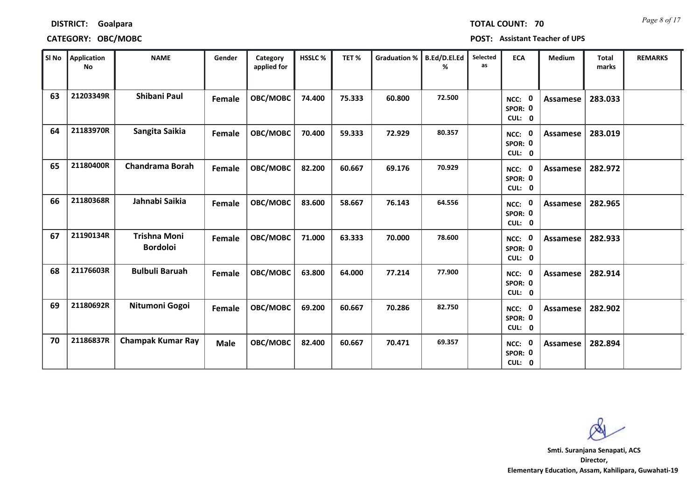|                | CATEGORY: OBC/MOBC |              |        |                         |                |      |       |
|----------------|--------------------|--------------|--------|-------------------------|----------------|------|-------|
| SI No          | Application<br>No  | <b>NAME</b>  | Gender | Category<br>applied for | <b>HSSLC %</b> | TET% | Gradu |
| C <sub>2</sub> | 212022400          | Chihani Daul |        | . <i>. .</i>            |                |      | $ -$  |

**POST: Assistant Teacher of UPS** 

| SI No | Application<br><b>No</b> | <b>NAME</b>                            | Gender      | Category<br>applied for | HSSLC% | TET%   | <b>Graduation %</b> | B.Ed/D.El.Ed<br>℅ | Selected<br>as | <b>ECA</b>                               | Medium          | <b>Total</b><br>marks | <b>REMARKS</b> |
|-------|--------------------------|----------------------------------------|-------------|-------------------------|--------|--------|---------------------|-------------------|----------------|------------------------------------------|-----------------|-----------------------|----------------|
| 63    | 21203349R                | Shibani Paul                           | Female      | OBC/MOBC                | 74.400 | 75.333 | 60.800              | 72.500            |                | $\mathbf 0$<br>NCC:<br>SPOR: 0<br>CUL: 0 | <b>Assamese</b> | 283.033               |                |
| 64    | 21183970R                | Sangita Saikia                         | Female      | OBC/MOBC                | 70.400 | 59.333 | 72.929              | 80.357            |                | NCC: 0<br>SPOR: 0<br>CUL: 0              | <b>Assamese</b> | 283.019               |                |
| 65    | 21180400R                | <b>Chandrama Borah</b>                 | Female      | OBC/MOBC                | 82.200 | 60.667 | 69.176              | 70.929            |                | NCC: 0<br>SPOR: 0<br>CUL: 0              | Assamese        | 282.972               |                |
| 66    | 21180368R                | Jahnabi Saikia                         | Female      | OBC/MOBC                | 83.600 | 58.667 | 76.143              | 64.556            |                | $\mathbf 0$<br>NCC:<br>SPOR: 0<br>CUL: 0 | Assamese        | 282.965               |                |
| 67    | 21190134R                | <b>Trishna Moni</b><br><b>Bordoloi</b> | Female      | OBC/MOBC                | 71.000 | 63.333 | 70.000              | 78.600            |                | NCC: 0<br>SPOR: 0<br>CUL: 0              | <b>Assamese</b> | 282.933               |                |
| 68    | 21176603R                | <b>Bulbuli Baruah</b>                  | Female      | OBC/MOBC                | 63.800 | 64.000 | 77.214              | 77.900            |                | $\mathbf 0$<br>NCC:<br>SPOR: 0<br>CUL: 0 | Assamese        | 282.914               |                |
| 69    | 21180692R                | Nitumoni Gogoi                         | Female      | OBC/MOBC                | 69.200 | 60.667 | 70.286              | 82.750            |                | NCC: 0<br>SPOR: 0<br>CUL: 0              | <b>Assamese</b> | 282.902               |                |
| 70    | 21186837R                | <b>Champak Kumar Ray</b>               | <b>Male</b> | OBC/MOBC                | 82.400 | 60.667 | 70.471              | 69.357            |                | $\mathbf 0$<br>NCC:<br>SPOR: 0<br>CUL: 0 | Assamese        | 282.894               |                |

**Director, Elementary Education, Assam, Kahilipara, Guwahati-19 Smti. Suranjana Senapati, ACS**

*Page 8 of 17* **TOTAL COUNT: 70**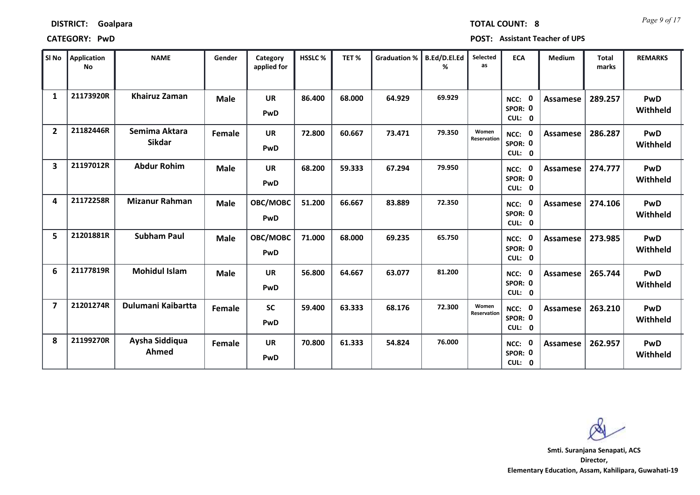| SI No                   | Application<br><b>No</b> | <b>NAME</b>                    | Gender        | Category<br>applied for | <b>HSSLC%</b> | TET%   | <b>Graduation %</b> | <b>B.Ed/D.El.Ed</b><br>% | Selected<br><b>as</b> | <b>ECA</b>                               | <b>Medium</b>   | <b>Total</b><br>marks | <b>REMARKS</b>  |
|-------------------------|--------------------------|--------------------------------|---------------|-------------------------|---------------|--------|---------------------|--------------------------|-----------------------|------------------------------------------|-----------------|-----------------------|-----------------|
| $\mathbf{1}$            | 21173920R                | <b>Khairuz Zaman</b>           | <b>Male</b>   | <b>UR</b><br>PwD        | 86.400        | 68.000 | 64.929              | 69.929                   |                       | 0<br>NCC:<br>SPOR: 0<br>CUL: 0           | Assamese        | 289.257               | PwD<br>Withheld |
| $\overline{2}$          | 21182446R                | Semima Aktara<br><b>Sikdar</b> | Female        | <b>UR</b><br>PwD        | 72.800        | 60.667 | 73.471              | 79.350                   | Women<br>Reservation  | NCC: 0<br>SPOR: 0<br>CUL: 0              | Assamese        | 286.287               | PwD<br>Withheld |
| $\overline{\mathbf{3}}$ | 21197012R                | <b>Abdur Rohim</b>             | <b>Male</b>   | <b>UR</b><br>PwD        | 68.200        | 59.333 | 67.294              | 79.950                   |                       | $\mathbf 0$<br>NCC:<br>SPOR: 0<br>CUL: 0 | Assamese        | 274.777               | PwD<br>Withheld |
| 4                       | 21172258R                | <b>Mizanur Rahman</b>          | <b>Male</b>   | OBC/MOBC<br>PwD         | 51.200        | 66.667 | 83.889              | 72.350                   |                       | 0<br>NCC:<br>SPOR: 0<br>CUL: 0           | Assamese        | 274.106               | PwD<br>Withheld |
| 5                       | 21201881R                | <b>Subham Paul</b>             | <b>Male</b>   | OBC/MOBC<br>PwD         | 71.000        | 68.000 | 69.235              | 65.750                   |                       | $\mathbf 0$<br>NCC:<br>SPOR: 0<br>CUL: 0 | <b>Assamese</b> | 273.985               | PwD<br>Withheld |
| 6                       | 21177819R                | <b>Mohidul Islam</b>           | <b>Male</b>   | <b>UR</b><br>PwD        | 56.800        | 64.667 | 63.077              | 81.200                   |                       | 0<br>NCC:<br>SPOR: 0<br>CUL: 0           | Assamese        | 265.744               | PwD<br>Withheld |
| $\overline{\mathbf{z}}$ | 21201274R                | Dulumani Kaibartta             | <b>Female</b> | <b>SC</b><br>PwD        | 59.400        | 63.333 | 68.176              | 72.300                   | Women<br>Reservation  | NCC: 0<br>SPOR: 0<br>CUL: 0              | Assamese        | 263.210               | PwD<br>Withheld |
| 8                       | 21199270R                | Aysha Siddiqua<br>Ahmed        | Female        | <b>UR</b><br>PwD        | 70.800        | 61.333 | 54.824              | 76.000                   |                       | $\mathbf 0$<br>NCC:<br>SPOR: 0<br>CUL: 0 | Assamese        | 262.957               | PwD<br>Withheld |

**CATEGORY: PwD POST: Assistant Teacher of UPS**

**Director, Elementary Education, Assam, Kahilipara, Guwahati-19 Smti. Suranjana Senapati, ACS**

*Page 9 of 17* **TOTAL COUNT: 8**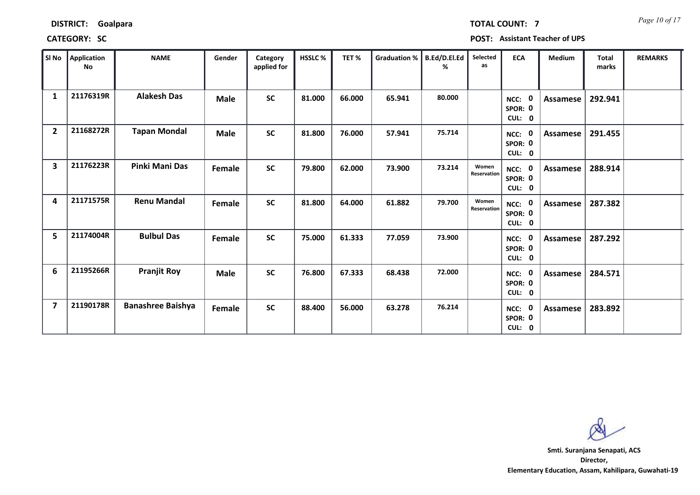| SI No          | Application<br>No | <b>NAME</b>              | Gender        | Category<br>applied for | HSSLC% | TET%   | Graduation % | <b>B.Ed/D.El.Ed</b><br>% | Selected<br>as       | <b>ECA</b>                                           | Medium   | <b>Total</b><br>marks | <b>REMARKS</b> |
|----------------|-------------------|--------------------------|---------------|-------------------------|--------|--------|--------------|--------------------------|----------------------|------------------------------------------------------|----------|-----------------------|----------------|
| $\mathbf{1}$   | 21176319R         | <b>Alakesh Das</b>       | Male          | SC                      | 81.000 | 66.000 | 65.941       | 80.000                   |                      | NCC: 0<br>SPOR: 0<br>CUL: 0                          | Assamese | 292.941               |                |
| $\overline{2}$ | 21168272R         | <b>Tapan Mondal</b>      | <b>Male</b>   | <b>SC</b>               | 81.800 | 76.000 | 57.941       | 75.714                   |                      | NCC: 0<br>SPOR: 0<br>CUL: 0                          | Assamese | 291.455               |                |
| 3              | 21176223R         | Pinki Mani Das           | <b>Female</b> | <b>SC</b>               | 79.800 | 62.000 | 73.900       | 73.214                   | Women<br>Reservation | NCC: 0<br>SPOR: 0<br>CUL: 0                          | Assamese | 288.914               |                |
| 4              | 21171575R         | <b>Renu Mandal</b>       | Female        | <b>SC</b>               | 81.800 | 64.000 | 61.882       | 79.700                   | Women<br>Reservation | NCC: 0<br>SPOR: 0<br>CUL: 0                          | Assamese | 287.382               |                |
| 5              | 21174004R         | <b>Bulbul Das</b>        | Female        | <b>SC</b>               | 75.000 | 61.333 | 77.059       | 73.900                   |                      | NCC: 0<br>SPOR: 0<br>CUL: 0                          | Assamese | 287.292               |                |
| 6              | 21195266R         | <b>Pranjit Roy</b>       | <b>Male</b>   | <b>SC</b>               | 76.800 | 67.333 | 68.438       | 72.000                   |                      | $\overline{\mathbf{0}}$<br>NCC:<br>SPOR: 0<br>CUL: 0 | Assamese | 284.571               |                |
| $\overline{7}$ | 21190178R         | <b>Banashree Baishya</b> | Female        | <b>SC</b>               | 88.400 | 56.000 | 63.278       | 76.214                   |                      | NCC: 0<br>SPOR: 0<br>CUL: 0                          | Assamese | 283.892               |                |

**CATEGORY: SC POST: Assistant Teacher of UPS**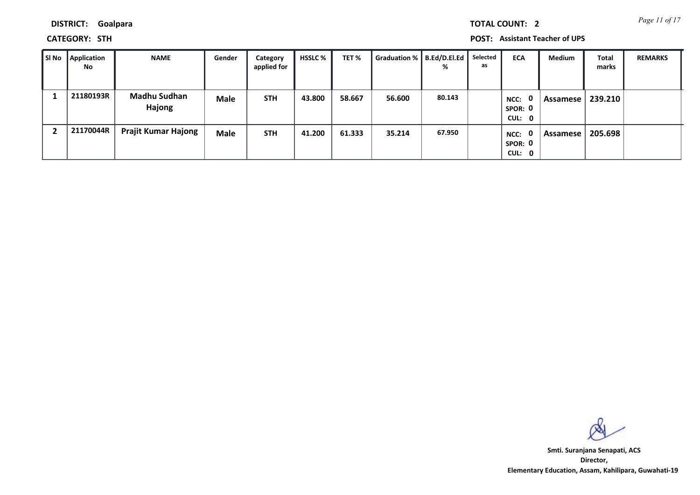*Page 11 of 17* **TOTAL COUNT: 2**

**DISTRICT: Goalpara**

**CATEGORY: STH POST: Assistant Teacher of UPS**

| SI No | <b>Application</b><br><b>No</b> | <b>NAME</b>                   | Gender      | Category<br>applied for | <b>HSSLC %</b> | TET%   | Graduation % | B.Ed/D.EI.Ed  <br>% | Selected<br>as | <b>ECA</b>                                | <b>Medium</b> | Total<br>marks | <b>REMARKS</b> |
|-------|---------------------------------|-------------------------------|-------------|-------------------------|----------------|--------|--------------|---------------------|----------------|-------------------------------------------|---------------|----------------|----------------|
|       | 21180193R                       | <b>Madhu Sudhan</b><br>Hajong | <b>Male</b> | <b>STH</b>              | 43.800         | 58.667 | 56.600       | 80.143              |                | $\mathbf{0}$<br>NCC:<br>SPOR: 0<br>CUL: 0 | Assamese      | 239.210        |                |
|       | 21170044R                       | <b>Prajit Kumar Hajong</b>    | <b>Male</b> | <b>STH</b>              | 41.200         | 61.333 | 35.214       | 67.950              |                | $\mathbf{0}$<br>NCC:<br>SPOR: 0<br>CUL: 0 | Assamese      | 205.698        |                |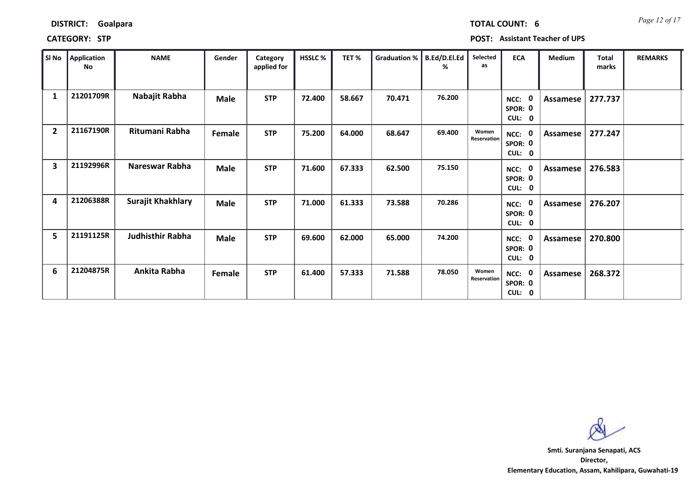| SI No                   | Application<br>No | <b>NAME</b>       | Gender      | Category<br>applied for | HSSLC % | TET%   | Graduation % | B.Ed/D.El.Ed<br>% | Selected<br>as       | <b>ECA</b>                                          | Medium   | <b>Total</b><br>marks | <b>REMARKS</b> |
|-------------------------|-------------------|-------------------|-------------|-------------------------|---------|--------|--------------|-------------------|----------------------|-----------------------------------------------------|----------|-----------------------|----------------|
| 1                       | 21201709R         | Nabajit Rabha     | Male        | <b>STP</b>              | 72.400  | 58.667 | 70.471       | 76.200            |                      | - 0<br>NCC:<br>SPOR: 0<br>CUL: 0                    | Assamese | 277.737               |                |
| $\overline{2}$          | 21167190R         | Ritumani Rabha    | Female      | <b>STP</b>              | 75.200  | 64.000 | 68.647       | 69.400            | Women<br>Reservation | - 0<br>NCC:<br>SPOR: 0<br>CUL:<br>$\mathbf 0$       | Assamese | 277.247               |                |
| $\overline{\mathbf{3}}$ | 21192996R         | Nareswar Rabha    | Male        | <b>STP</b>              | 71.600  | 67.333 | 62.500       | 75.150            |                      | - 0<br>NCC:<br>SPOR: 0<br>CUL: 0                    | Assamese | 276.583               |                |
| 4                       | 21206388R         | Surajit Khakhlary | <b>Male</b> | <b>STP</b>              | 71.000  | 61.333 | 73.588       | 70.286            |                      | 0<br>NCC:<br>SPOR: 0<br><b>CUL:</b><br>$\mathbf{0}$ | Assamese | 276.207               |                |
| 5                       | 21191125R         | Judhisthir Rabha  | <b>Male</b> | <b>STP</b>              | 69.600  | 62.000 | 65.000       | 74.200            |                      | 0<br>NCC:<br>SPOR: 0<br>CUL:<br>$\mathbf 0$         | Assamese | 270.800               |                |
| 6                       | 21204875R         | Ankita Rabha      | Female      | <b>STP</b>              | 61.400  | 57.333 | 71.588       | 78.050            | Women<br>Reservation | - 0<br>NCC:<br>SPOR: 0<br>CUL: 0                    | Assamese | 268.372               |                |

### **CATEGORY: STP POST: Assistant Teacher of UPS**

**DISTRICT: Goalpara**

**Director, Elementary Education, Assam, Kahilipara, Guwahati-19 Smti. Suranjana Senapati, ACS**

*Page 12 of 17* **TOTAL COUNT: 6**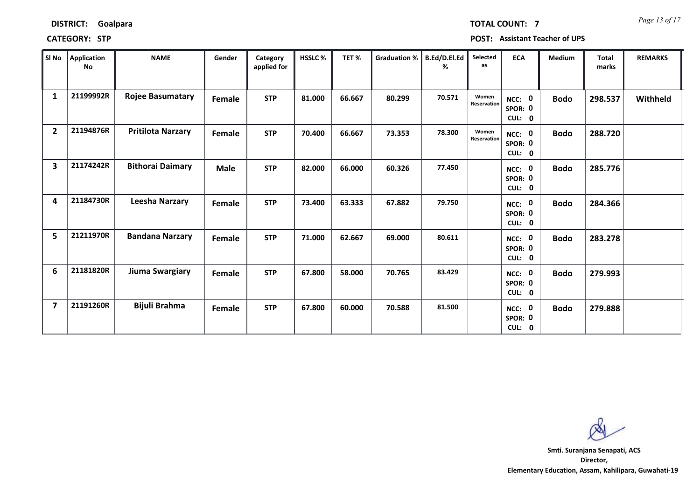| SI No                   | Application<br>No | <b>NAME</b>              | Gender | Category<br>applied for | HSSLC% | TET%   | Graduation % | B.Ed/D.El.Ed<br>% | Selected<br>as       | <b>ECA</b>                  | Medium      | <b>Total</b><br>marks | <b>REMARKS</b> |
|-------------------------|-------------------|--------------------------|--------|-------------------------|--------|--------|--------------|-------------------|----------------------|-----------------------------|-------------|-----------------------|----------------|
| $\mathbf{1}$            | 21199992R         | <b>Rojee Basumatary</b>  | Female | <b>STP</b>              | 81.000 | 66.667 | 80.299       | 70.571            | Women<br>Reservation | NCC: 0<br>SPOR: 0<br>CUL: 0 | <b>Bodo</b> | 298.537               | Withheld       |
| $\overline{2}$          | 21194876R         | <b>Pritilota Narzary</b> | Female | <b>STP</b>              | 70.400 | 66.667 | 73.353       | 78.300            | Women<br>Reservation | NCC: 0<br>SPOR: 0<br>CUL: 0 | <b>Bodo</b> | 288.720               |                |
| $\overline{\mathbf{3}}$ | 21174242R         | <b>Bithorai Daimary</b>  | Male   | <b>STP</b>              | 82.000 | 66.000 | 60.326       | 77.450            |                      | NCC: 0<br>SPOR: 0<br>CUL: 0 | <b>Bodo</b> | 285.776               |                |
| 4                       | 21184730R         | Leesha Narzary           | Female | <b>STP</b>              | 73.400 | 63.333 | 67.882       | 79.750            |                      | NCC: 0<br>SPOR: 0<br>CUL: 0 | <b>Bodo</b> | 284.366               |                |
| 5                       | 21211970R         | <b>Bandana Narzary</b>   | Female | <b>STP</b>              | 71.000 | 62.667 | 69.000       | 80.611            |                      | NCC: 0<br>SPOR: 0<br>CUL: 0 | <b>Bodo</b> | 283.278               |                |
| 6                       | 21181820R         | Jiuma Swargiary          | Female | <b>STP</b>              | 67.800 | 58.000 | 70.765       | 83.429            |                      | NCC: 0<br>SPOR: 0<br>CUL: 0 | <b>Bodo</b> | 279.993               |                |
| $\overline{7}$          | 21191260R         | Bijuli Brahma            | Female | <b>STP</b>              | 67.800 | 60.000 | 70.588       | 81.500            |                      | NCC: 0<br>SPOR: 0<br>CUL: 0 | <b>Bodo</b> | 279.888               |                |

**CATEGORY: STP POST: Assistant Teacher of UPS**

**Director, Elementary Education, Assam, Kahilipara, Guwahati-19 Smti. Suranjana Senapati, ACS**

*Page 13 of 17* **TOTAL COUNT: 7**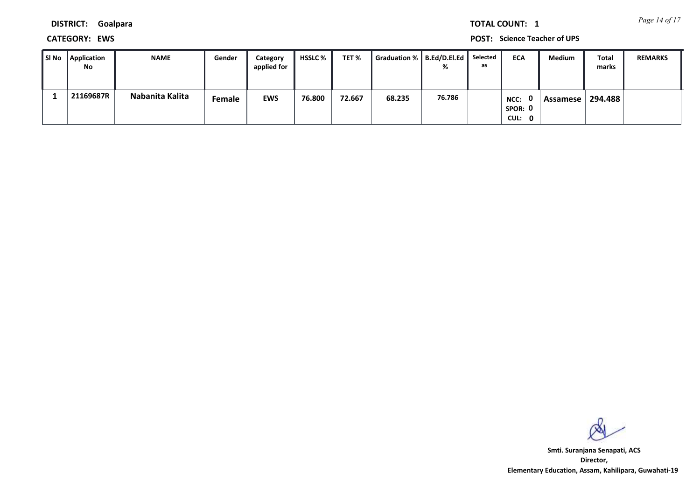*Page 14 of 17* **TOTAL COUNT: 1**

**DISTRICT: Goalpara**

**CATEGORY: EWS POST: Science Teacher of UPS**

| Sl No | Application<br>No | <b>NAME</b>     | Gender | Category<br>applied for | HSSLC % | TET %  | Graduation %   B.Ed/D.El.Ed |        | Selected<br>as | <b>ECA</b>                | Medium   | <b>Total</b><br>marks | <b>REMARKS</b> |
|-------|-------------------|-----------------|--------|-------------------------|---------|--------|-----------------------------|--------|----------------|---------------------------|----------|-----------------------|----------------|
|       | 21169687R         | Nabanita Kalita | Female | <b>EWS</b>              | 76.800  | 72.667 | 68.235                      | 76.786 |                | NCC:<br>SPOR: 0<br>CUL: 0 | Assamese | 294.488               |                |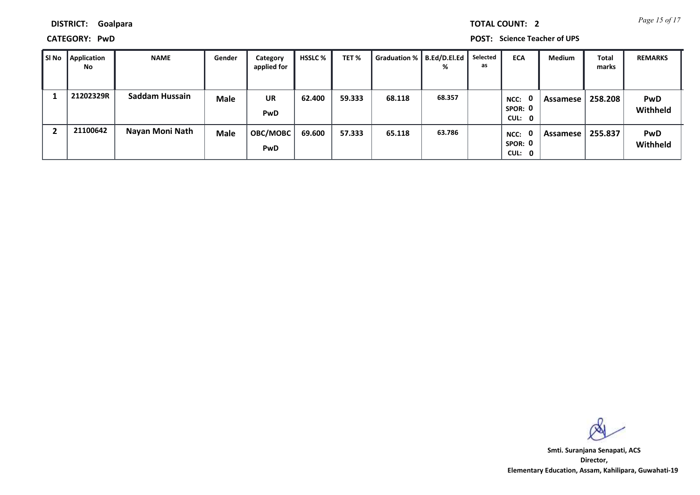*Page 15 of 17* **TOTAL COUNT: 2**

**DISTRICT: Goalpara**

**CATEGORY: PwD POST: Science Teacher of UPS**

| SI No | <b>Application</b><br>No | <b>NAME</b>     | Gender      | Category<br>applied for | <b>HSSLC</b> % | TET %  | Graduation %   B.Ed/D.El.Ed | %      | Selected<br>as | <b>ECA</b>                                | <b>Medium</b> | <b>Total</b><br>marks | <b>REMARKS</b>         |
|-------|--------------------------|-----------------|-------------|-------------------------|----------------|--------|-----------------------------|--------|----------------|-------------------------------------------|---------------|-----------------------|------------------------|
|       | 21202329R                | Saddam Hussain  | <b>Male</b> | <b>UR</b><br>PwD        | 62.400         | 59.333 | 68.118                      | 68.357 |                | 0<br>NCC:<br>SPOR: 0<br>CUL: 0            | Assamese      | 258.208               | <b>PwD</b><br>Withheld |
|       | 21100642                 | Nayan Moni Nath | <b>Male</b> | <b>OBC/MOBC</b><br>PwD  | 69.600         | 57.333 | 65.118                      | 63.786 |                | $\mathbf{0}$<br>NCC:<br>SPOR: 0<br>CUL: 0 | Assamese      | 255.837               | <b>PwD</b><br>Withheld |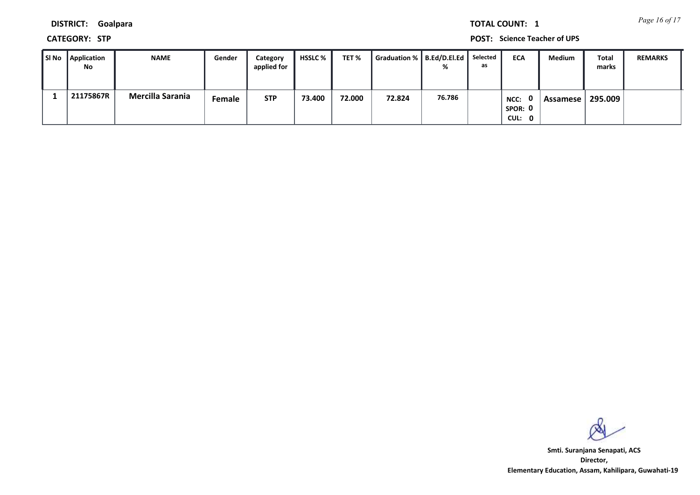*Page 16 of 17* **TOTAL COUNT: 1**

**DISTRICT: Goalpara**

**CATEGORY: STP POST: Science Teacher of UPS**

| SI No | Application<br>No | <b>NAME</b>      | Gender | Category<br>applied for | HSSLC % | TET %  | Graduation %   B.Ed/D.El.Ed |        | Selected<br>as | <b>ECA</b>                | Medium   | <b>Total</b><br>marks | <b>REMARKS</b> |
|-------|-------------------|------------------|--------|-------------------------|---------|--------|-----------------------------|--------|----------------|---------------------------|----------|-----------------------|----------------|
|       | 21175867R         | Mercilla Sarania | Female | <b>STP</b>              | 73.400  | 72.000 | 72.824                      | 76.786 |                | NCC:<br>SPOR: 0<br>CUL: 0 | Assamese | 295.009               |                |